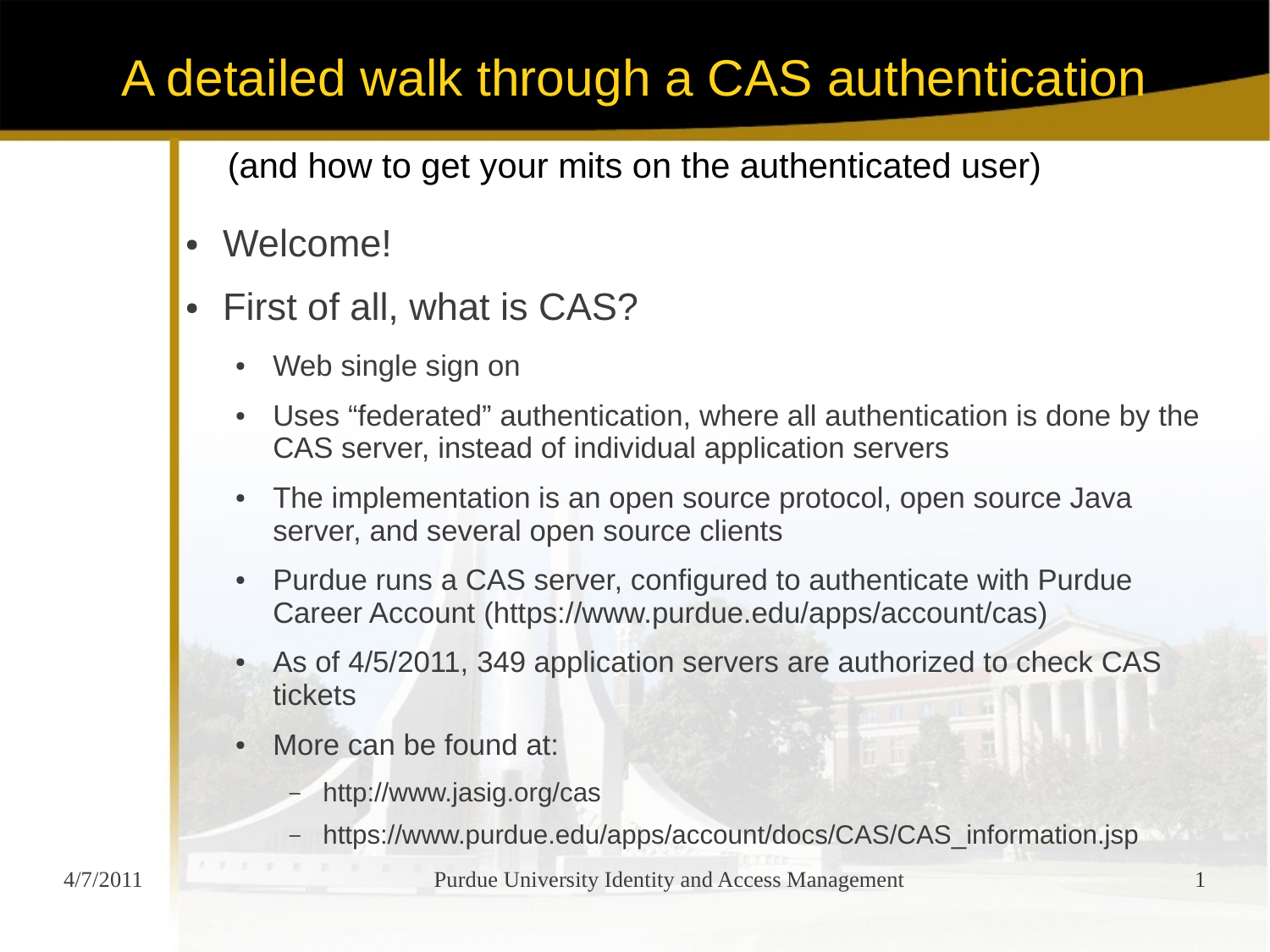- Welcome!
- First of all, what is CAS?
	- Web single sign on
	- Uses "federated" authentication, where all authentication is done by the CAS server, instead of individual application servers
	- The implementation is an open source protocol, open source Java server, and several open source clients
	- Purdue runs a CAS server, configured to authenticate with Purdue Career Account (https://www.purdue.edu/apps/account/cas)
	- As of 4/5/2011, 349 application servers are authorized to check CAS tickets
	- More can be found at:
		- http://www.jasig.org/cas
		- https://www.purdue.edu/apps/account/docs/CAS/CAS\_information.jsp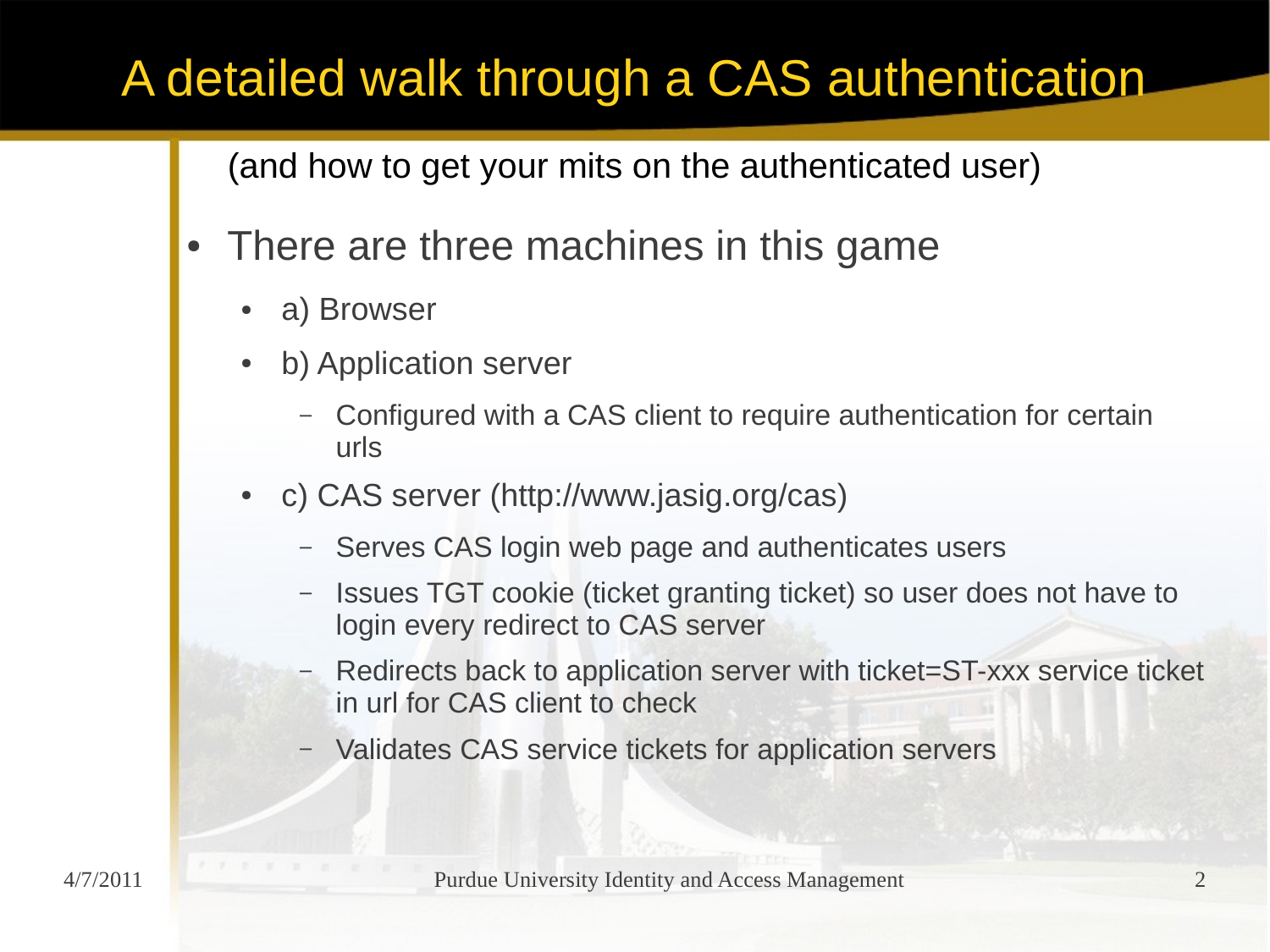- There are three machines in this game
	- a) Browser
	- b) Application server
		- Configured with a CAS client to require authentication for certain urls
	- c) CAS server (http://www.jasig.org/cas)
		- Serves CAS login web page and authenticates users
		- Issues TGT cookie (ticket granting ticket) so user does not have to login every redirect to CAS server
		- Redirects back to application server with ticket=ST-xxx service ticket in url for CAS client to check
		- Validates CAS service tickets for application servers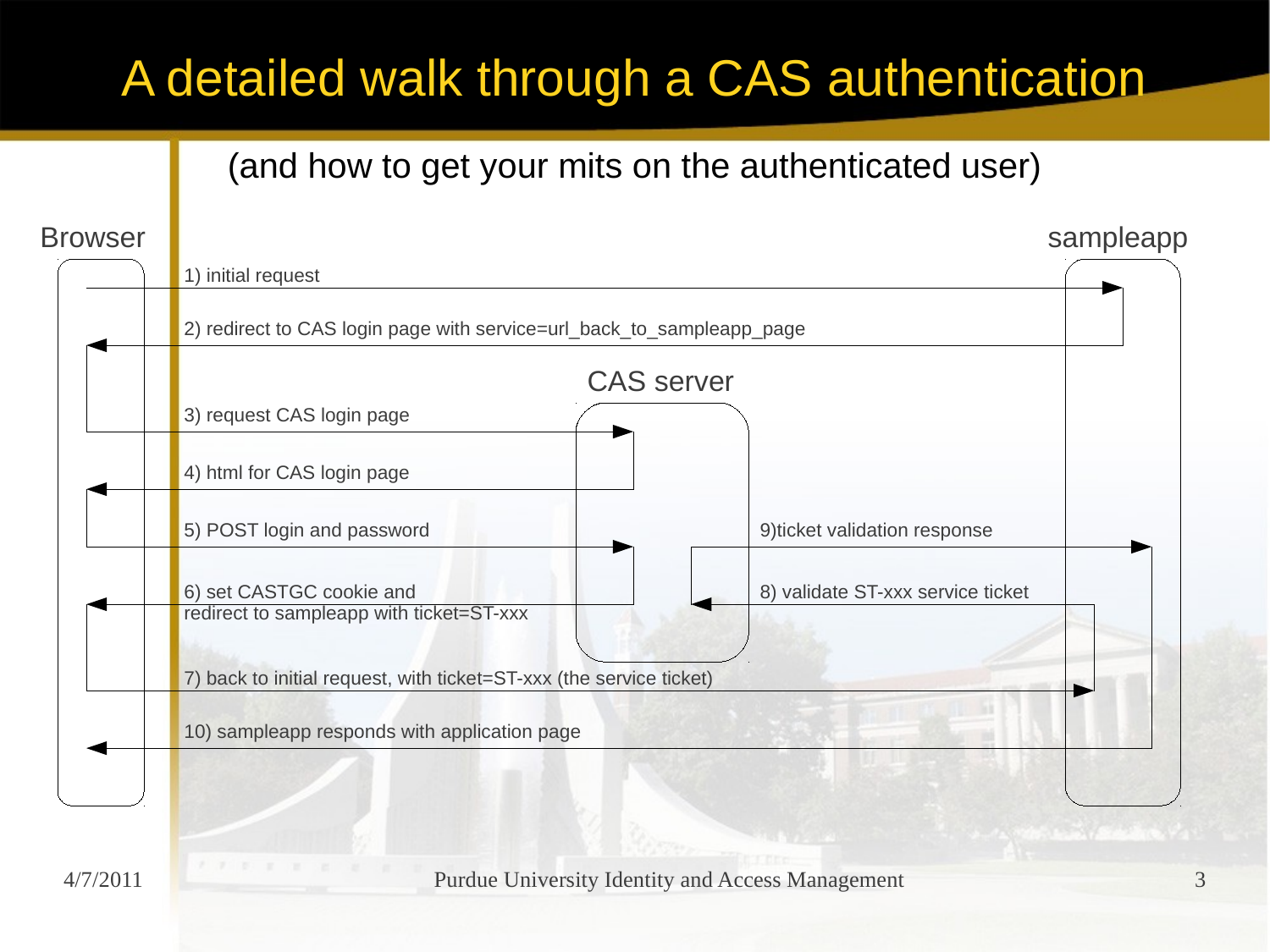### (and how to get your mits on the authenticated user)

### Browser CAS server sampleapp 1) initial request 2) redirect to CAS login page with service=url\_back\_to\_sampleapp\_page 3) request CAS login page 4) html for CAS login page 5) POST login and password 6) set CASTGC cookie and redirect to sampleapp with ticket=ST-xxx 7) back to initial request, with ticket=ST-xxx (the service ticket) 8) validate ST-xxx service ticket 9)ticket validation response 10) sampleapp responds with application page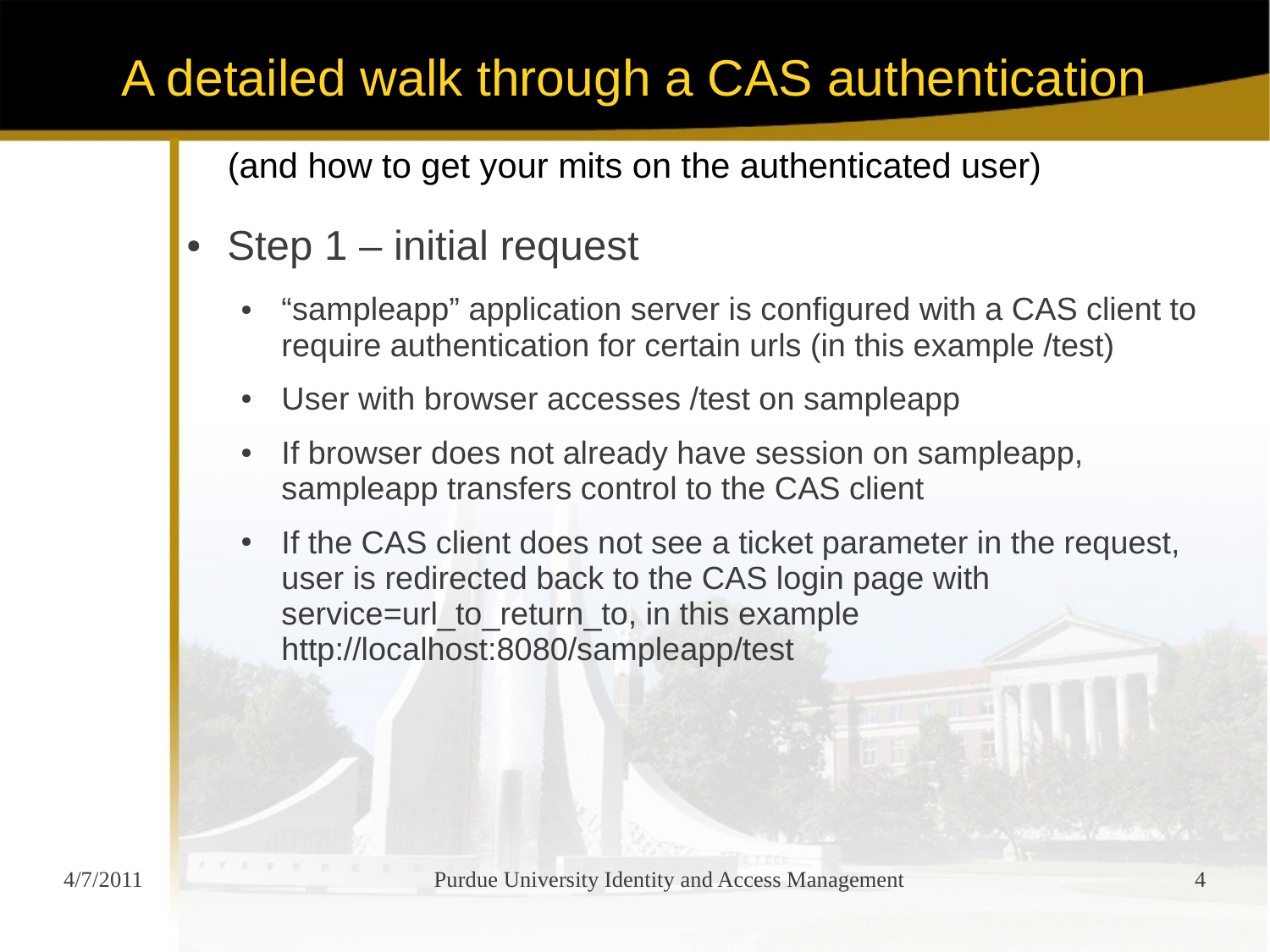- Step  $1$  initial request
	- "sampleapp" application server is configured with a CAS client to require authentication for certain urls (in this example /test)
	- User with browser accesses /test on sampleapp
	- If browser does not already have session on sampleapp, sampleapp transfers control to the CAS client
	- If the CAS client does not see a ticket parameter in the request, user is redirected back to the CAS login page with service=url\_to\_return\_to, in this example http://localhost:8080/sampleapp/test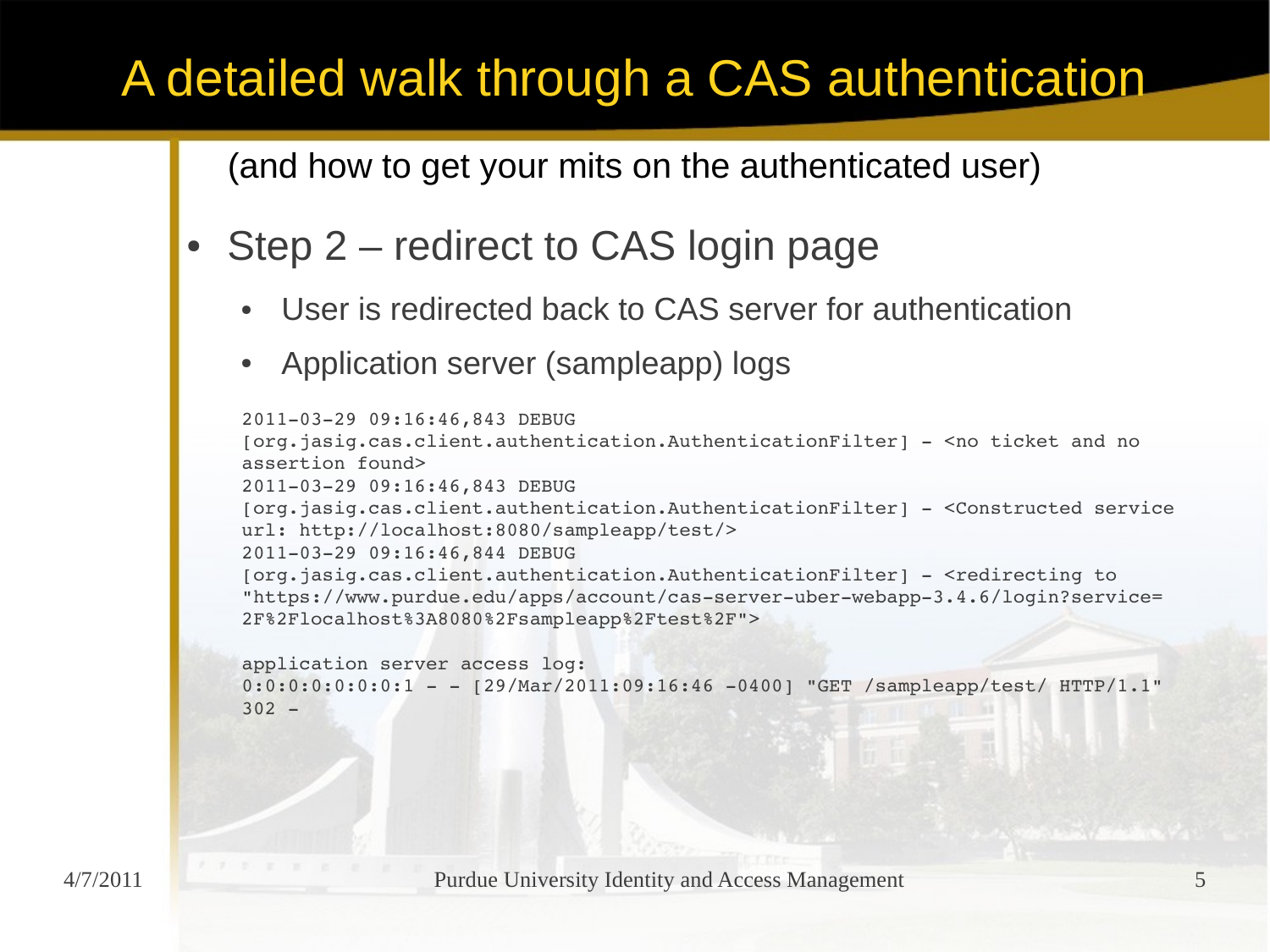- Step 2 redirect to CAS login page
	- User is redirected back to CAS server for authentication
	- Application server (sampleapp) logs

```
20110329 09:16:46,843 DEBUG 
[org.jasig.cas.client.authentication.AuthenticationFilter]  <no ticket and no 
assertion found>
20110329 09:16:46,843 DEBUG 
[org.jasig.cas.client.authentication.AuthenticationFilter]  <Constructed service 
url: http://localhost:8080/sampleapp/test/>
20110329 09:16:46,844 DEBUG 
[org.jasig.cas.client.authentication.AuthenticationFilter]  <redirecting to 
"https://www.purdue.edu/apps/account/cas-server-uber-webapp-3.4.6/login?service=
2F%2Flocalhost%3A8080%2Fsampleapp%2Ftest%2F">
```

```
application server access log:
0:0:0:0:0:0:1 - - [29/Mar/2011:09:16:46 -0400] "GET /sampleapp/test/ HTTP/1.1"
302 -
```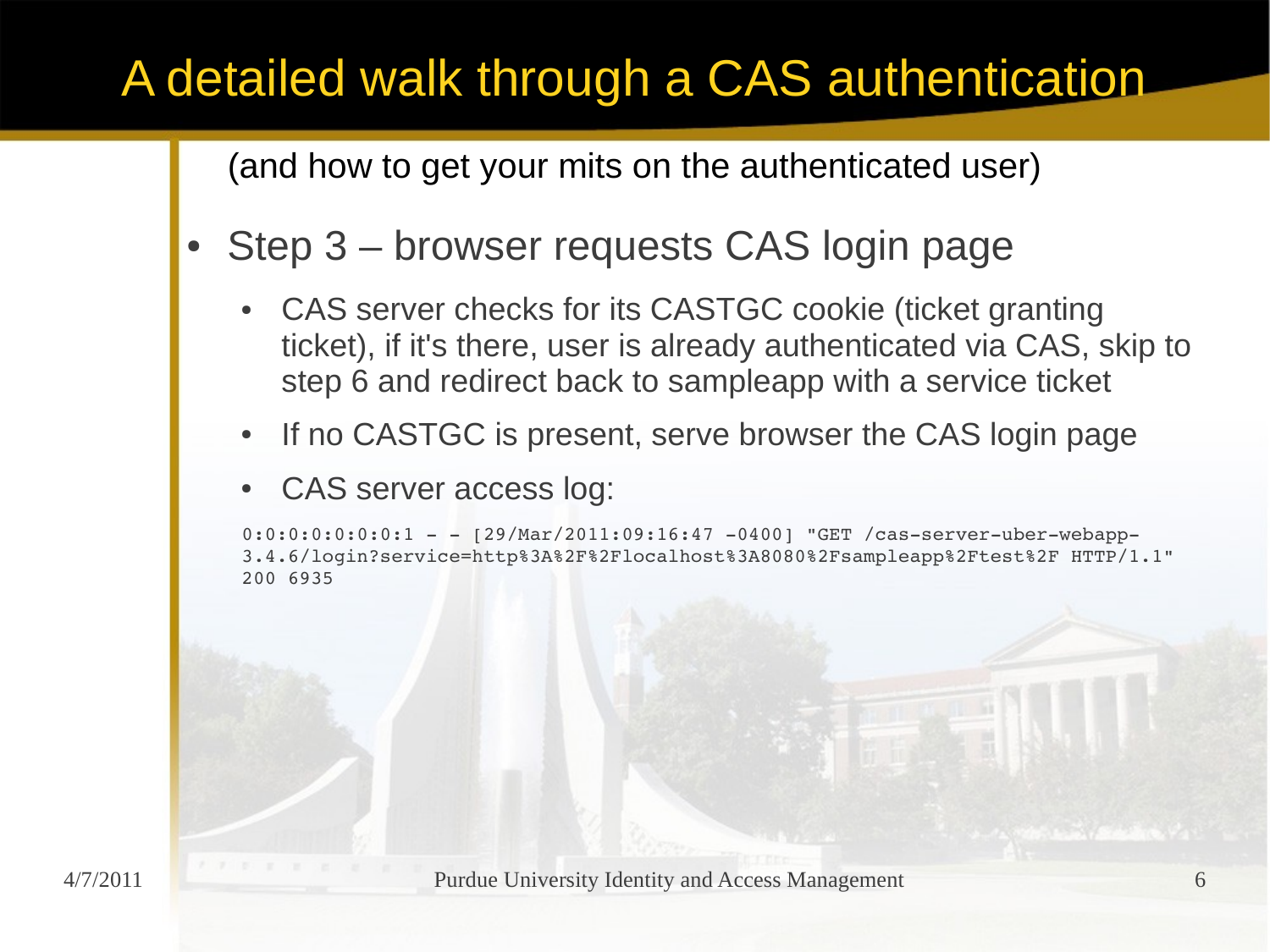- Step 3 browser requests CAS login page
	- CAS server checks for its CASTGC cookie (ticket granting ticket), if it's there, user is already authenticated via CAS, skip to step 6 and redirect back to sampleapp with a service ticket
	- If no CASTGC is present, serve browser the CAS login page
	- CAS server access log:

```
0:0:0:0:0:0:1 - [29/Mar/2011:09:16:47 -0400] "GET /cas-server-uber-webapp-
3.4.6/login?service=http%3A%2F%2Flocalhost%3A8080%2Fsampleapp%2Ftest%2F HTTP/1.1" 
200 6935
```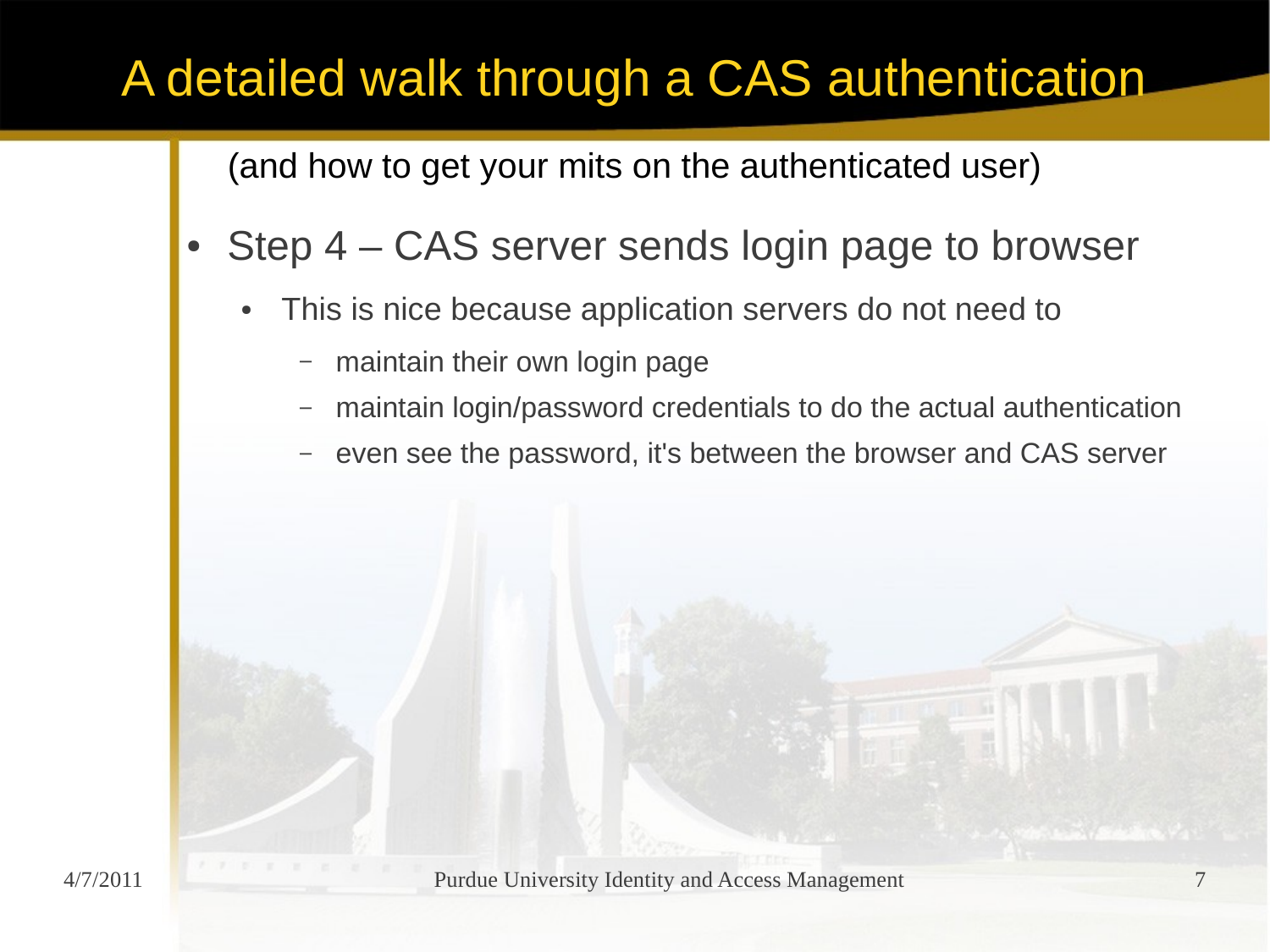- Step  $4 CAS$  server sends login page to browser
	- This is nice because application servers do not need to
		- maintain their own login page
		- maintain login/password credentials to do the actual authentication
		- even see the password, it's between the browser and CAS server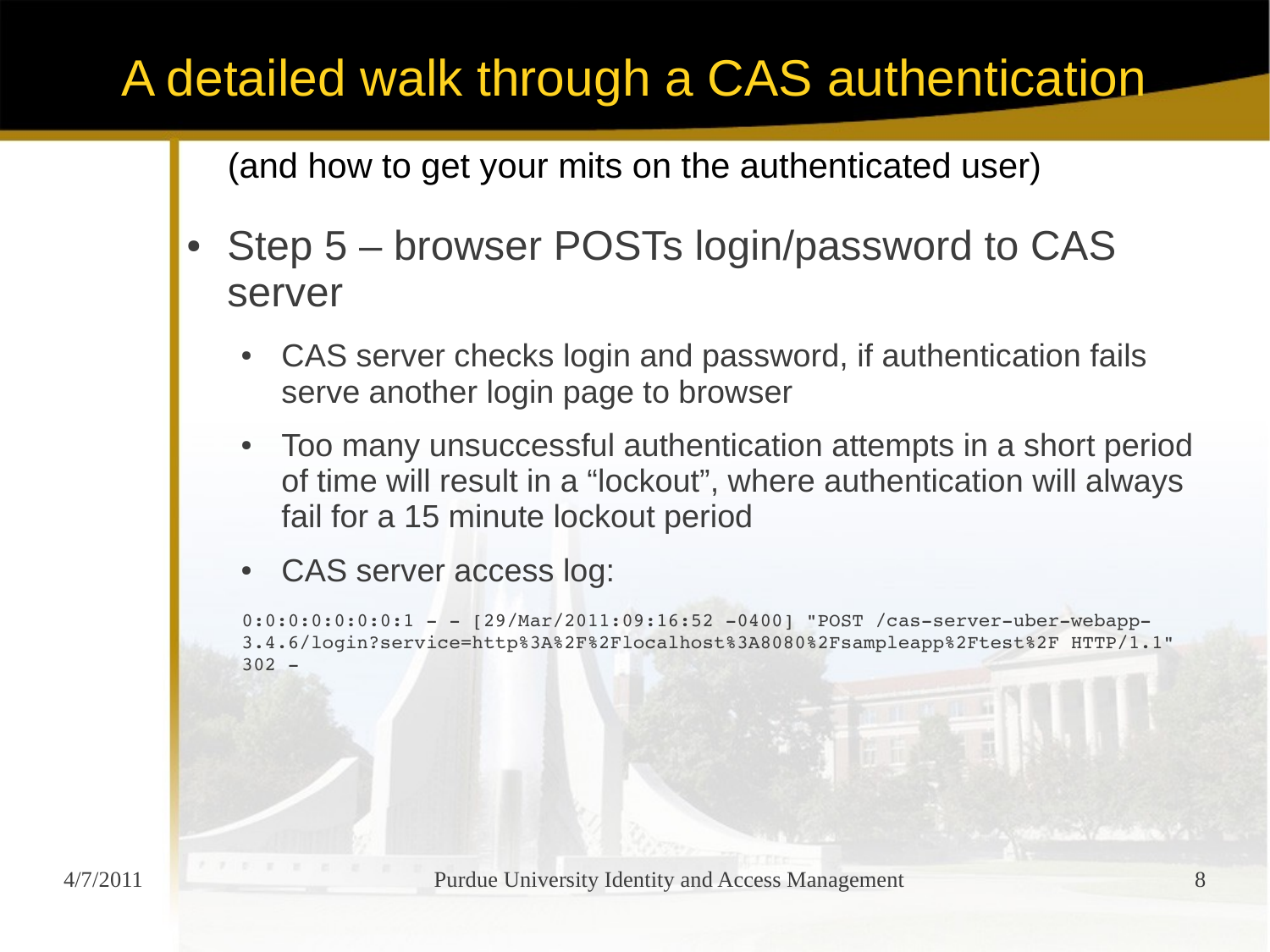- Step 5 browser POSTs login/password to CAS server
	- CAS server checks login and password, if authentication fails serve another login page to browser
	- Too many unsuccessful authentication attempts in a short period of time will result in a "lockout", where authentication will always fail for a 15 minute lockout period
	- CAS server access log:

```
0:0:0:0:0:0:1 - 129/Mar/2011:09:16:52 -0400 "POST /cas-server-uber-webapp-
3.4.6/login?service=http%3A%2F%2Flocalhost%3A8080%2Fsampleapp%2Ftest%2F HTTP/1.1" 
302 -
```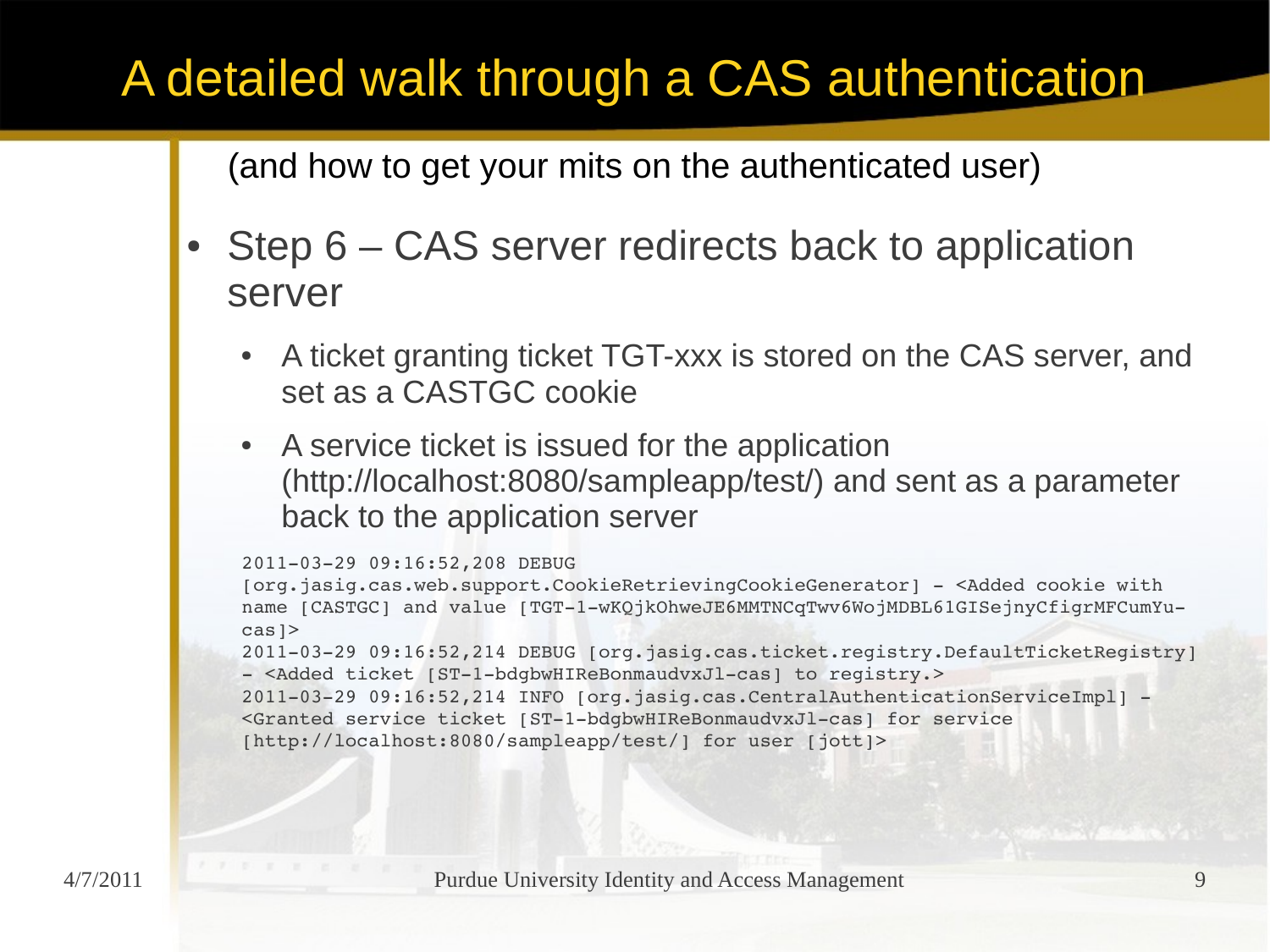- Step  $6 CAS$  server redirects back to application server
	- A ticket granting ticket TGT-xxx is stored on the CAS server, and set as a CASTGC cookie
	- A service ticket is issued for the application (http://localhost:8080/sampleapp/test/) and sent as a parameter back to the application server

```
20110329 09:16:52,208 DEBUG 
[org.jasig.cas.web.support.CookieRetrievingCookieGenerator]  <Added cookie with 
name [CASTGC] and value [TGT-1-wKQjkOhweJE6MMTNCqTwv6WojMDBL61GISejnyCfiqrMFCumYu-
cas]>
2011-03-29 09:16:52,214 DEBUG [org.jasig.cas.ticket.registry.DefaultTicketRegistry]
- <Added ticket [ST-1-bdqbwHIReBonmaudvxJl-cas] to registry.>
2011-03-29 09:16:52,214 INFO [org.jasig.cas.CentralAuthenticationServiceImpl] -
<Granted service ticket [ST1bdgbwHIReBonmaudvxJlcas] for service 
[http://localhost:8080/sampleapp/test/] for user [jott]>
```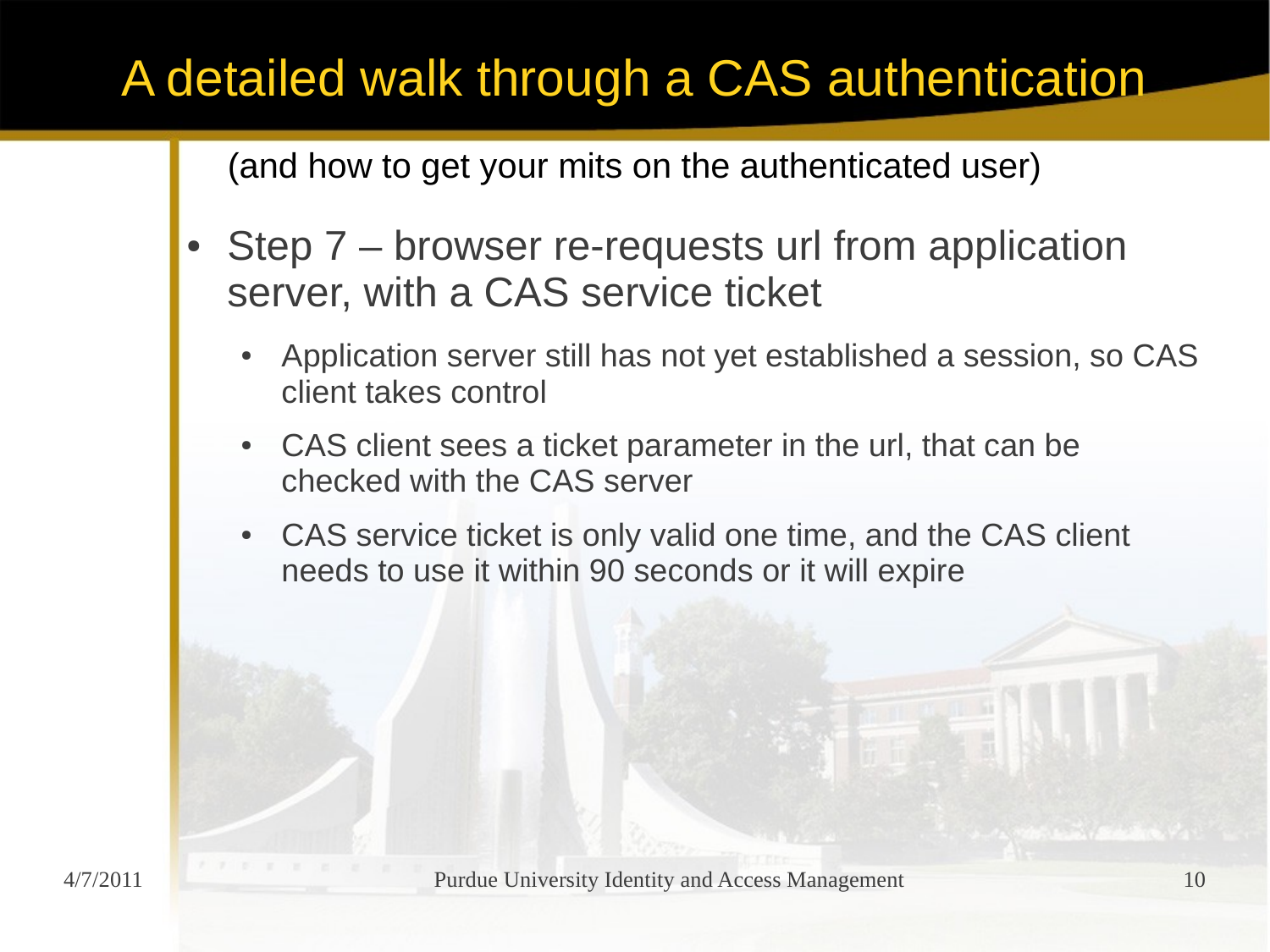- Step 7 browser re-requests url from application server, with a CAS service ticket
	- Application server still has not yet established a session, so CAS client takes control
	- CAS client sees a ticket parameter in the url, that can be checked with the CAS server
	- CAS service ticket is only valid one time, and the CAS client needs to use it within 90 seconds or it will expire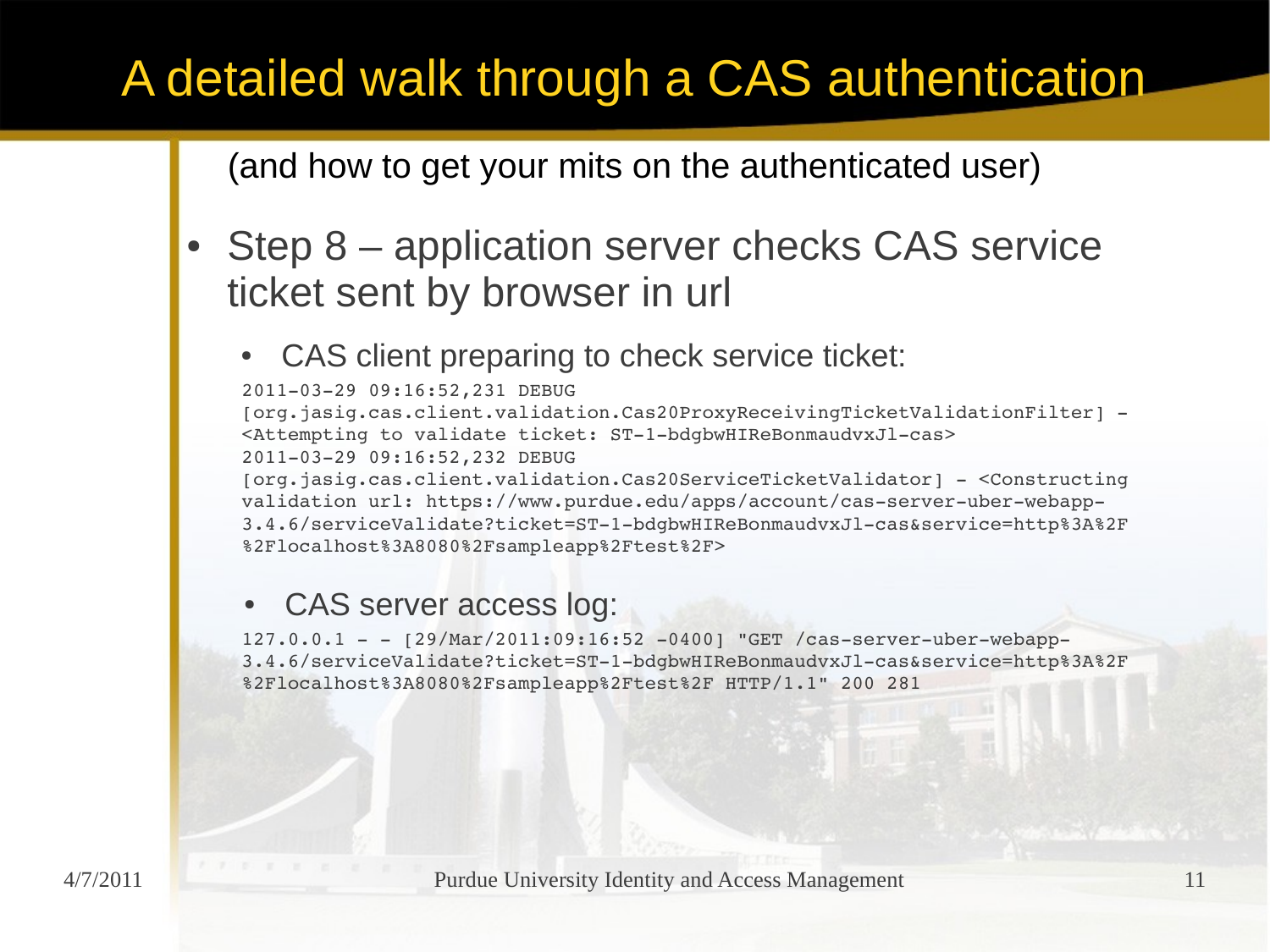(and how to get your mits on the authenticated user)

- Step 8 application server checks CAS service ticket sent by browser in url
	- CAS client preparing to check service ticket:

20110329 09:16:52,231 DEBUG [org.jasig.cas.client.validation.Cas20ProxyReceivingTicketValidationFilter] -<Attempting to validate ticket: ST-1-bdgbwHIReBonmaudvxJl-cas> 20110329 09:16:52,232 DEBUG

[org.jasig.cas.client.validation.Cas20ServiceTicketValidator] <Constructing validation url: https://www.purdue.edu/apps/account/cas-server-uber-webapp-3.4.6/serviceValidate?ticket=ST-1-bdgbwHIReBonmaudvxJl-cas&service=http%3A%2F %2Flocalhost%3A8080%2Fsampleapp%2Ftest%2F>

#### • CAS server access log:

 $127.0.0.1 - [29/Mar/2011:09:16:52 -0400]$  "GET /cas-server-uber-webapp-3.4.6/serviceValidate?ticket=ST-1-bdgbwHIReBonmaudvxJl-cas&service=http%3A%2F %2Flocalhost%3A8080%2Fsampleapp%2Ftest%2F HTTP/1.1" 200 281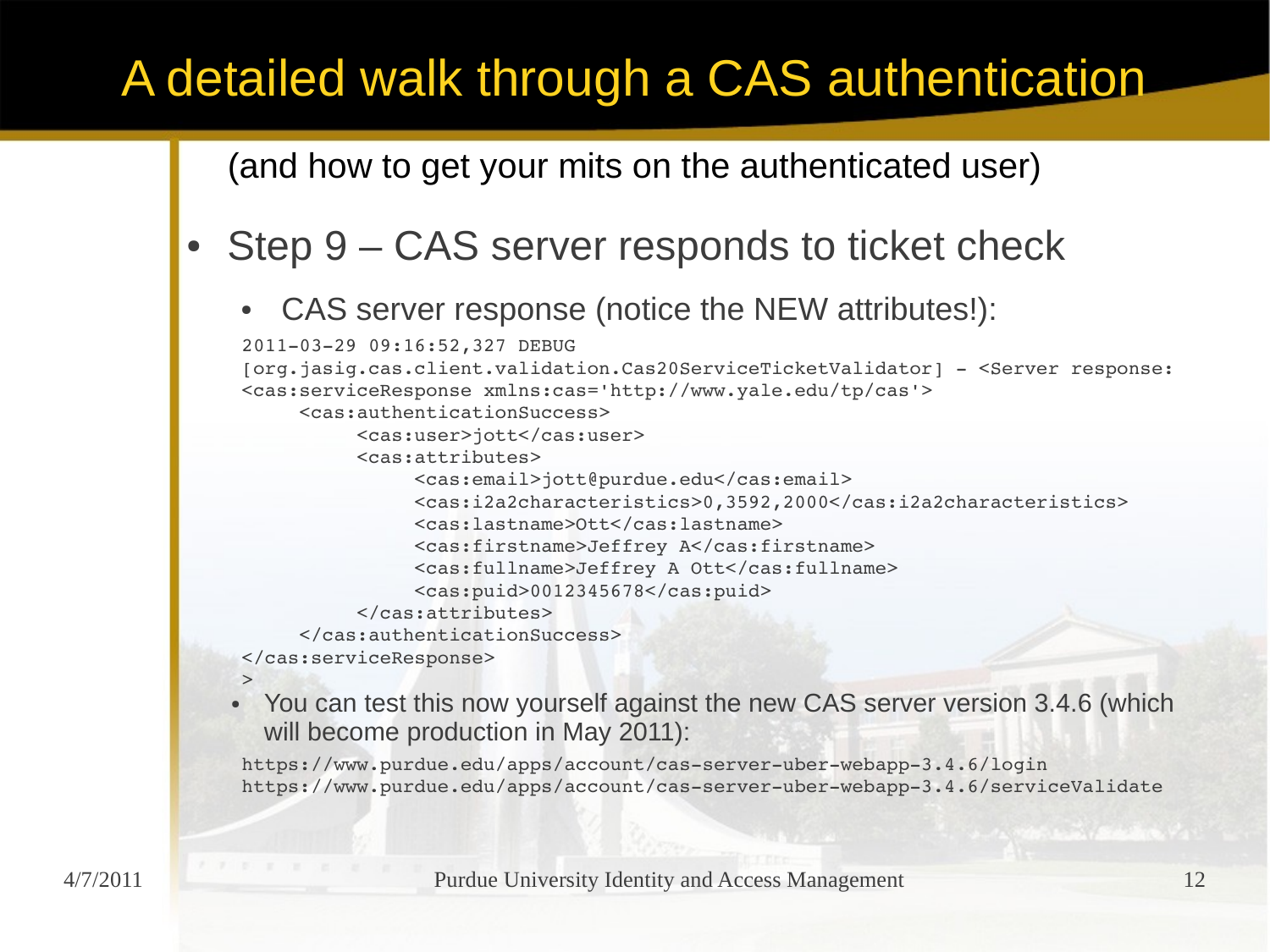(and how to get your mits on the authenticated user)

### Step 9 – CAS server responds to ticket check

• CAS server response (notice the NEW attributes!):

```
20110329 09:16:52,327 DEBUG 
[org.jasig.cas.client.validation.Cas20ServiceTicketValidator]  <Server response: 
<cas:serviceResponse xmlns:cas='http://www.yale.edu/tp/cas'>
     <cas:authenticationSuccess>
          <cas:user>jott</cas:user>
          <cas:attributes>
               <cas:email>jott@purdue.edu</cas:email>
               <cas:i2a2characteristics>0,3592,2000</cas:i2a2characteristics>
               <cas:lastname>Ott</cas:lastname>
               <cas:firstname>Jeffrey A</cas:firstname>
               <cas:fullname>Jeffrey A Ott</cas:fullname>
               <cas:puid>0012345678</cas:puid>
          </cas:attributes>
     </cas:authenticationSuccess>
</cas:serviceResponse>
>
```
• You can test this now yourself against the new CAS server version 3.4.6 (which will become production in May 2011):

https://www.purdue.edu/apps/account/cas-server-uber-webapp-3.4.6/login https://www.purdue.edu/apps/account/cas-server-uber-webapp-3.4.6/serviceValidate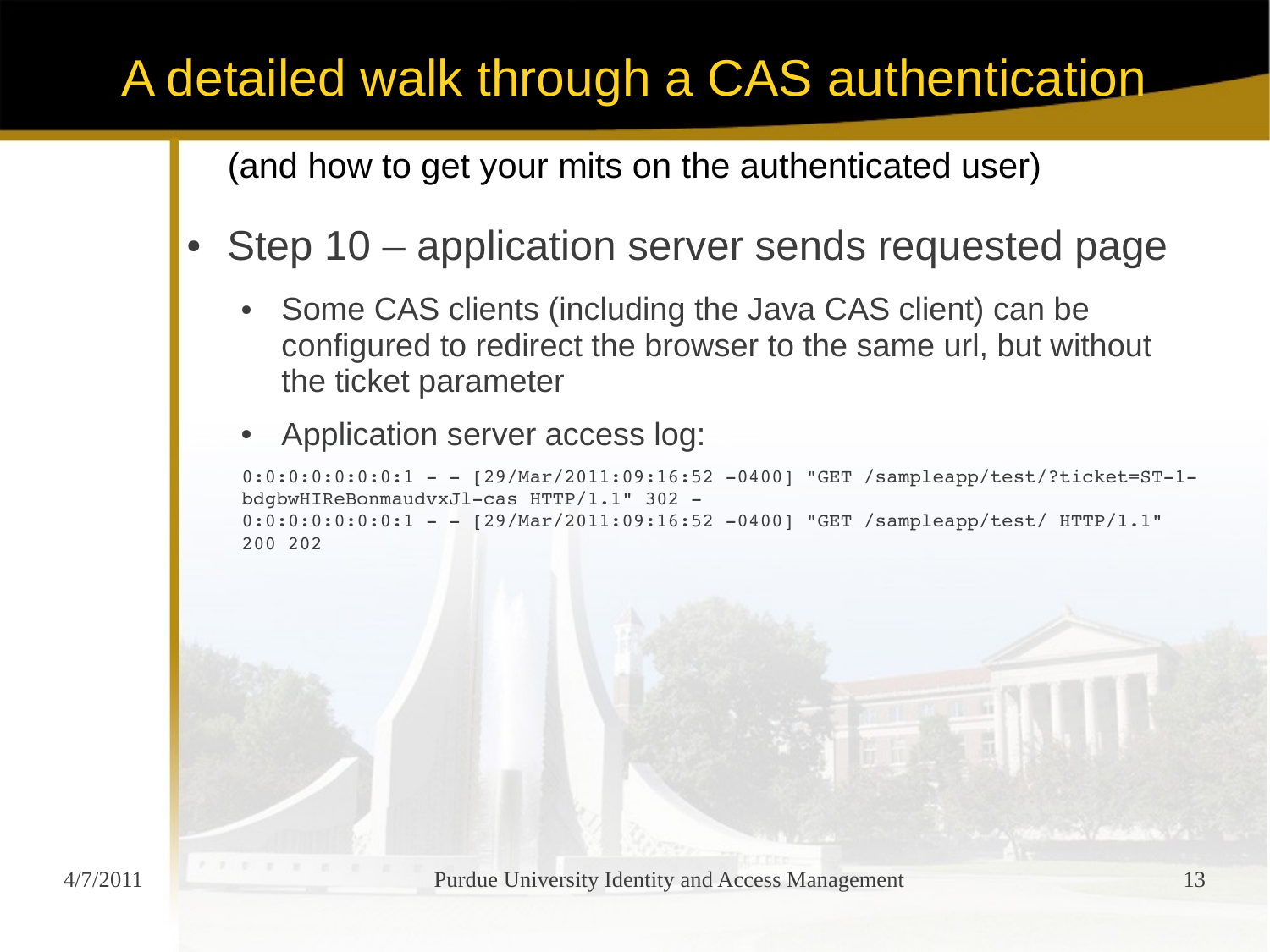(and how to get your mits on the authenticated user)

### Step 10 – application server sends requested page

- Some CAS clients (including the Java CAS client) can be configured to redirect the browser to the same url, but without the ticket parameter
- Application server access log:

```
0:0:0:0:0:0:1 - - [29/Mar/2011:09:16:52 -0400] "GET /sampleapp/test/?ticket=ST-1-
bdgbwHIReBonmaudvxJl-cas HTTP/1.1" 302 -
0:0:0:0:0:0:0:1 - - [29/Mar/2011:09:16:52 -0400] "GET /sampleapp/test/ HTTP/1.1"
200 202
```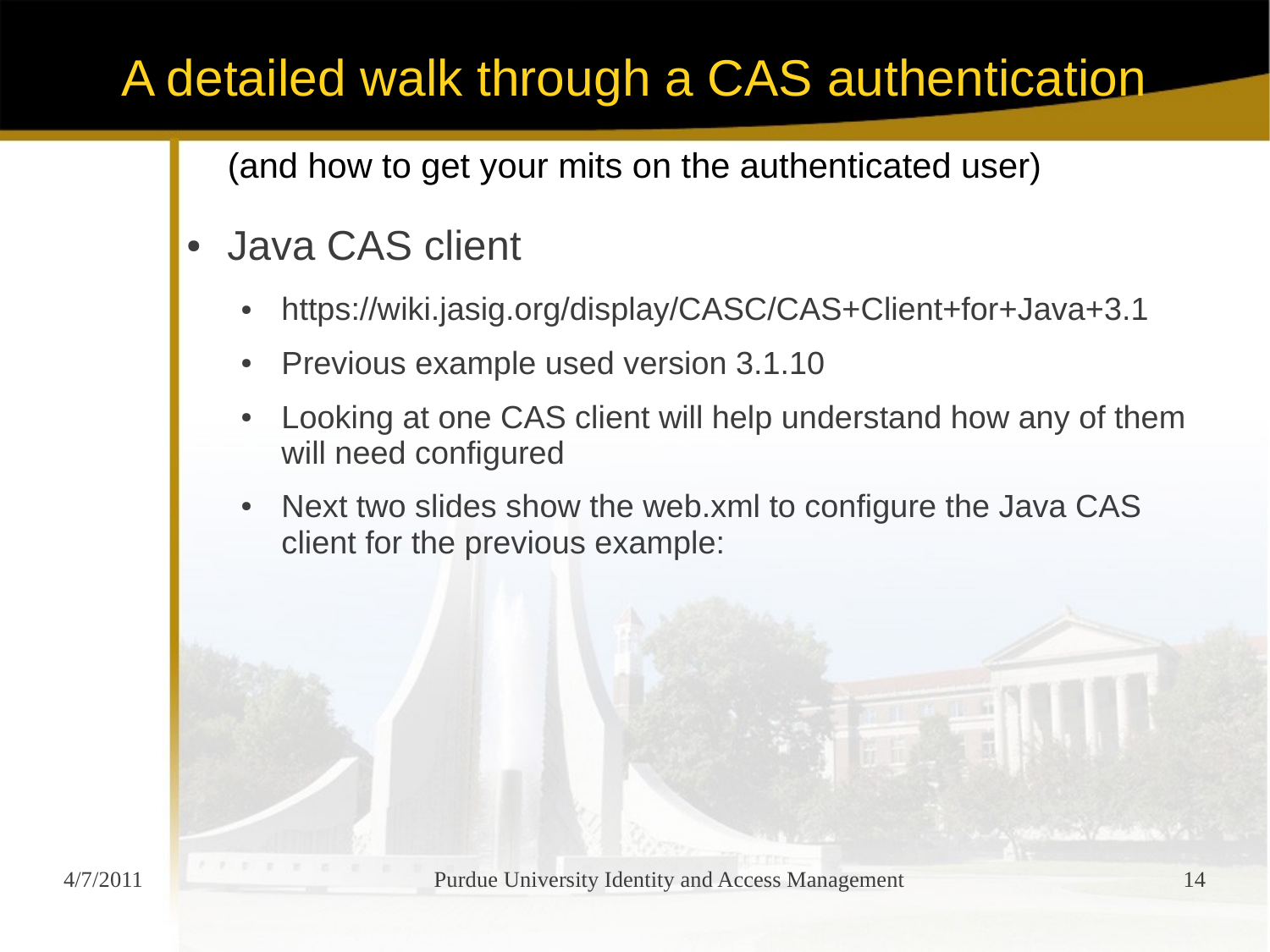(and how to get your mits on the authenticated user)

### Java CAS client

- https://wiki.jasig.org/display/CASC/CAS+Client+for+Java+3.1
- Previous example used version 3.1.10
- Looking at one CAS client will help understand how any of them will need configured
- Next two slides show the web.xml to configure the Java CAS client for the previous example: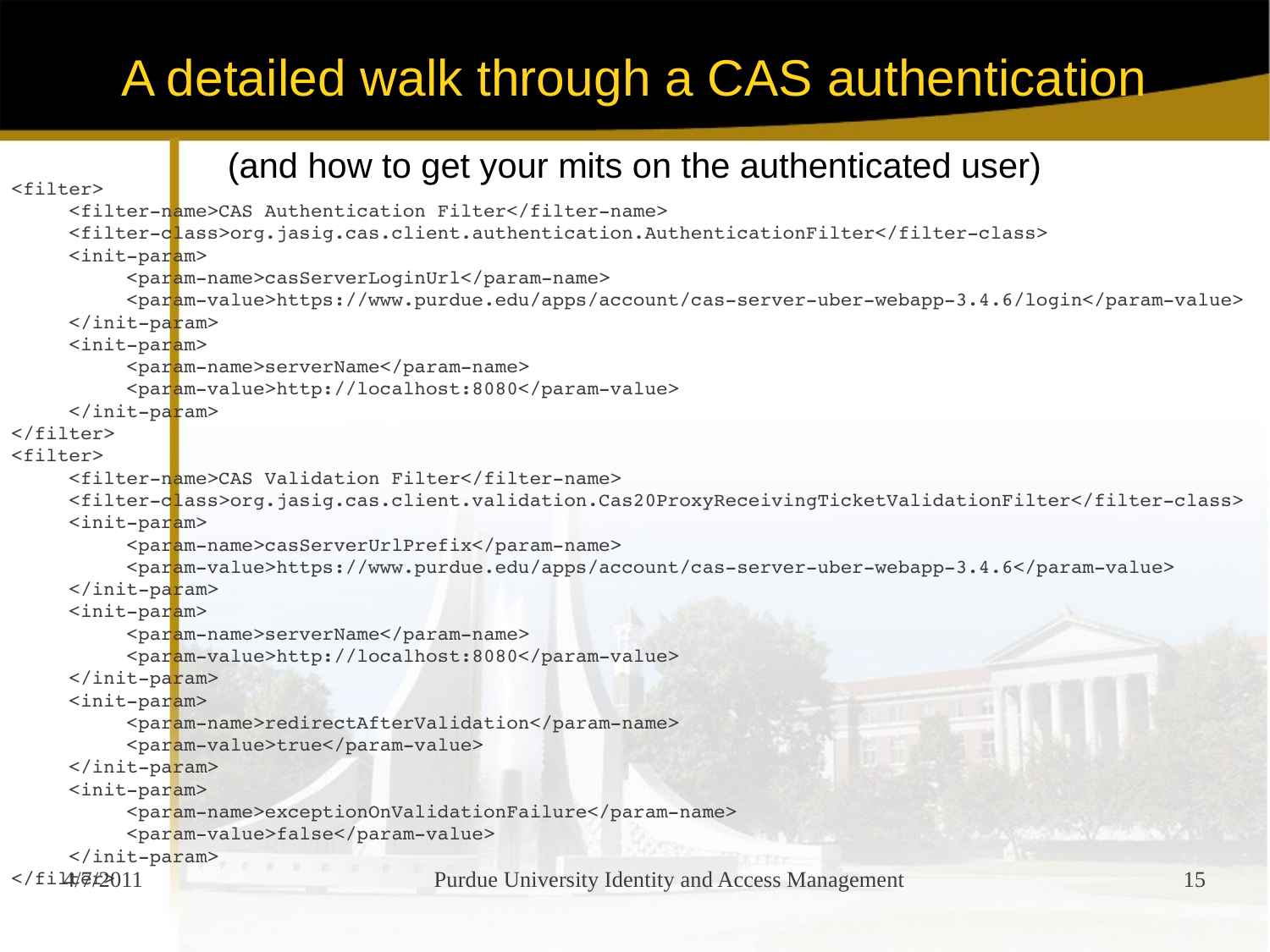```
Purdue University Identity and Access Management 15
                   (and how to get your mits on the authenticated user)
<filter>
     <filter-name>CAS Authentication Filter</filter-name>
     <filterclass>org.jasig.cas.client.authentication.AuthenticationFilter</filterclass>
     \langleinit-param>
          <param-name>casServerLoginUrl</param-name>
          <param-value>https://www.purdue.edu/apps/account/cas-server-uber-webapp-3.4.6/login</param-value>
     \langleinit-param>
     <init-param>
          <param-name>serverName</param-name>
          <param-value>http://localhost:8080</param-value>
     \langleinit-param>
</filter>
<filter>
     <filtername>CAS Validation Filter</filtername>
     <filterclass>org.jasig.cas.client.validation.Cas20ProxyReceivingTicketValidationFilter</filterclass>
     <init-param>
          <param-name>casServerUrlPrefix</param-name>
          <param-value>https://www.purdue.edu/apps/account/cas-server-uber-webapp-3.4.6</param-value>
     \langleinit-param>
     \langleinit-param>
          <param-name>serverName</param-name>
          <param-value>http://localhost:8080</param-value>
     \langleinit-param>
     <sub>init-param</sub></sub>
          <param-name>redirectAfterValidation</param-name>
          <param-value>true</param-value>
     \langleinit-param>
     <init-param>
          <param-name>exceptionOnValidationFailure</param-name>
          <param-value>false</param-value>
     \langleinit-param>
</filter2011
```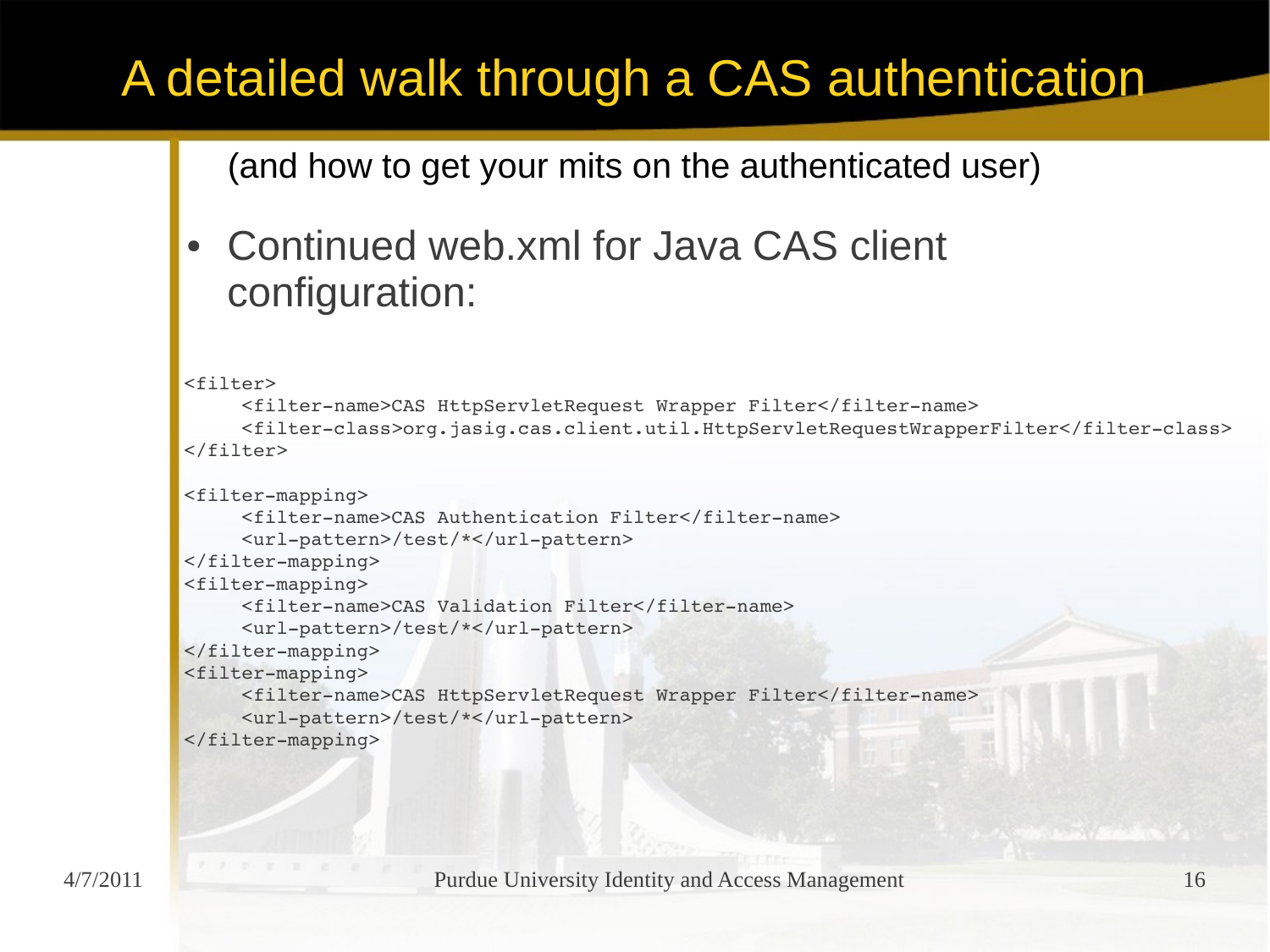```
(and how to get your mits on the authenticated user)
  Continued web.xml for Java CAS client
   configuration:
<filter>
    <filter-name>CAS HttpServletRequest Wrapper Filter</filter-name>
    <filterclass>org.jasig.cas.client.util.HttpServletRequestWrapperFilter</filterclass>
</filter>
<filter-mapping>
    <filter-name>CAS Authentication Filter</filter-name>
    <url-pattern>/test/*</url-pattern>
</filter-mapping>
<filter-mapping>
    <filtername>CAS Validation Filter</filtername>
    <url-pattern>/test/*</url-pattern>
\langlefilter-mapping>
<filter-mapping>
    <filter-name>CAS HttpServletRequest Wrapper Filter</filter-name>
    <url-pattern>/test/*</url-pattern>
</filter-mapping>
```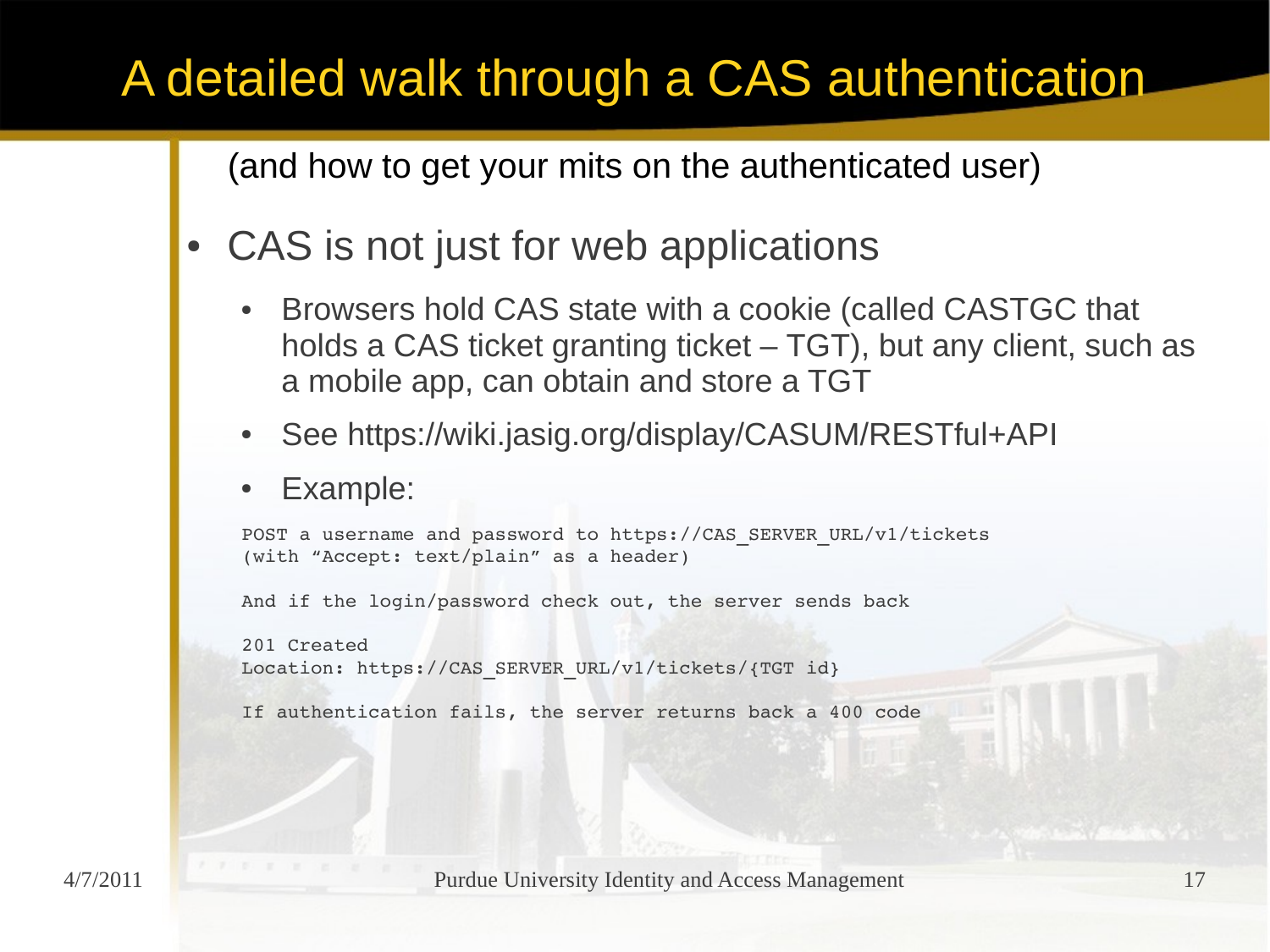- CAS is not just for web applications
	- Browsers hold CAS state with a cookie (called CASTGC that holds a CAS ticket granting ticket – TGT), but any client, such as a mobile app, can obtain and store a TGT
	- See https://wiki.jasig.org/display/CASUM/RESTful+API
	- Example:

```
POST a username and password to https://CAS_SERVER_URL/v1/tickets
(with "Accept: text/plain" as a header)
And if the login/password check out, the server sends back
201 Created
Location: https://CAS_SERVER_URL/v1/tickets/{TGT id}
If authentication fails, the server returns back a 400 code
```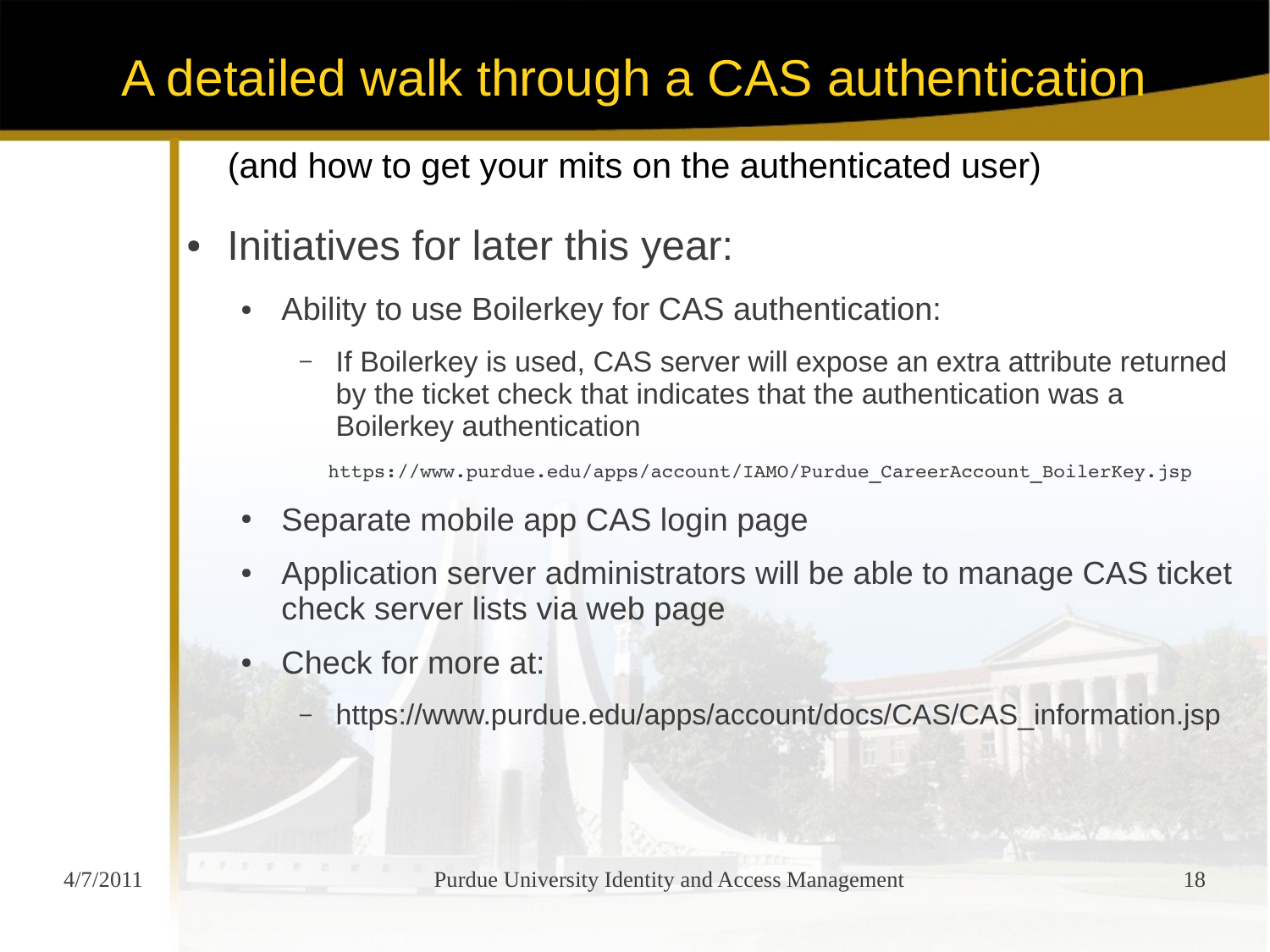(and how to get your mits on the authenticated user)

- Initiatives for later this year:
	- Ability to use Boilerkey for CAS authentication:
		- If Boilerkey is used, CAS server will expose an extra attribute returned by the ticket check that indicates that the authentication was a Boilerkey authentication

https://www.purdue.edu/apps/account/IAMO/Purdue CareerAccount BoilerKey.jsp

- Separate mobile app CAS login page
- Application server administrators will be able to manage CAS ticket check server lists via web page
- Check for more at:
	- https://www.purdue.edu/apps/account/docs/CAS/CAS\_information.jsp